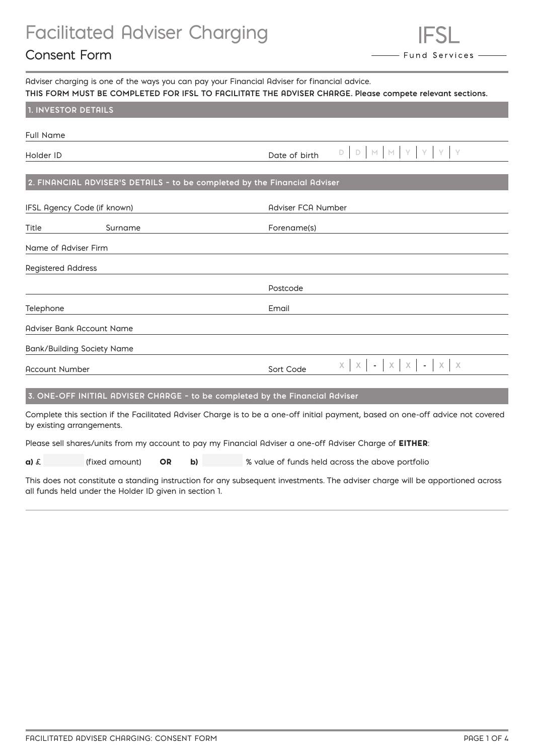# Facilitated Adviser Charging

# Consent Form

| Adviser charging is one of the ways you can pay your Financial Adviser for financial advice.<br>THIS FORM MUST BE COMPLETED FOR IFSL TO FACILITATE THE ADVISER CHARGE. Please compete relevant sections. |  |                                           |  |
|----------------------------------------------------------------------------------------------------------------------------------------------------------------------------------------------------------|--|-------------------------------------------|--|
| <b>1. INVESTOR DETAILS</b>                                                                                                                                                                               |  |                                           |  |
| Full Name                                                                                                                                                                                                |  |                                           |  |
| Holder ID                                                                                                                                                                                                |  | Date of birth $D   D   M   M   Y   Y   Y$ |  |

### **2. FINANCIAL ADVISER'S DETAILS – to be completed by the Financial Adviser**

| IFSL Agency Code (if known) |                                   | Adviser FCA Number                                                |
|-----------------------------|-----------------------------------|-------------------------------------------------------------------|
| Title                       | Surname                           | Forename(s)                                                       |
| Name of Adviser Firm        |                                   |                                                                   |
| <b>Registered Address</b>   |                                   |                                                                   |
|                             |                                   | Postcode                                                          |
| Telephone                   |                                   | Email                                                             |
|                             | Adviser Bank Account Name         |                                                                   |
|                             | <b>Bank/Building Society Name</b> |                                                                   |
| <b>Account Number</b>       |                                   | $x \mid x \mid - \mid x \mid x \mid - \mid x \mid x$<br>Sort Code |
|                             |                                   |                                                                   |

### **3. ONE-OFF INITIAL ADVISER CHARGE – to be completed by the Financial Adviser**

Complete this section if the Facilitated Adviser Charge is to be a one-off initial payment, based on one-off advice not covered by existing arrangements.

Please sell shares/units from my account to pay my Financial Adviser a one-off Adviser Charge of EITHER:

| $a)$ $\epsilon$ |  | (fixed amount) $OR$ |  |  | % value of funds held across the above portfolio |  |
|-----------------|--|---------------------|--|--|--------------------------------------------------|--|
|-----------------|--|---------------------|--|--|--------------------------------------------------|--|

This does not constitute a standing instruction for any subsequent investments. The adviser charge will be apportioned across all funds held under the Holder ID given in section 1.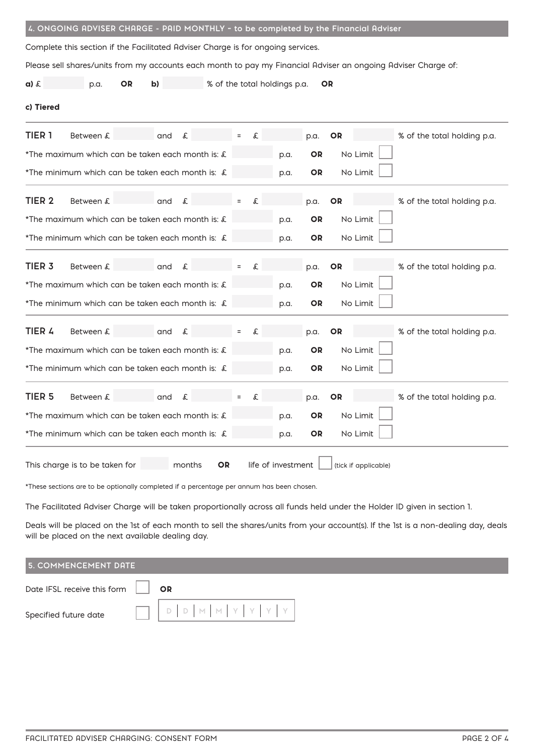| Complete this section if the Facilitated Adviser Charge is for ongoing services. |                                                                                                                |
|----------------------------------------------------------------------------------|----------------------------------------------------------------------------------------------------------------|
|                                                                                  | Please sell shares/units from my accounts each month to pay my Financial Adviser an ongoing Adviser Charge of: |
| $a)$ $\epsilon$<br><b>OR</b><br>p.a.<br>b)                                       | % of the total holdings p.a.<br><b>OR</b>                                                                      |
| c) Tiered                                                                        |                                                                                                                |
| TIER <sub>1</sub><br>Between £<br>and<br>£                                       | % of the total holding p.a.<br>OR<br>£<br>p.a.                                                                 |
| *The maximum which can be taken each month is: £                                 | No Limit<br><b>OR</b><br>p.a.                                                                                  |
| *The minimum which can be taken each month is: £                                 | No Limit<br>OR<br>p.a.                                                                                         |
| TIER <sub>2</sub><br>Between £<br>and<br>£                                       | £<br>% of the total holding p.a.<br><b>OR</b><br>p.a.                                                          |
| *The maximum which can be taken each month is: £                                 | No Limit<br>p.a.<br>OR.                                                                                        |
| *The minimum which can be taken each month is: £                                 | No Limit<br>OR.<br>p.a.                                                                                        |
| TIER <sub>3</sub><br>Between £<br>and<br>£                                       | % of the total holding p.a.<br>p.a.<br><b>OR</b><br>£                                                          |
| *The maximum which can be taken each month is: £                                 | No Limit<br><b>OR</b><br>p.a.                                                                                  |
| *The minimum which can be taken each month is: £                                 | No Limit<br><b>OR</b><br>p.a.                                                                                  |
| TIER 4<br>Between £<br>and<br>£                                                  | OR<br>% of the total holding p.a.<br>£<br>p.a.                                                                 |
| *The maximum which can be taken each month is: £                                 | No Limit<br><b>OR</b><br>p.a.                                                                                  |
| *The minimum which can be taken each month is: £                                 | No Limit<br><b>OR</b><br>p.a.                                                                                  |
| TIER <sub>5</sub><br>Between £<br>and<br>£                                       | £<br>OR<br>% of the total holding p.a.<br>p.a.                                                                 |
| *The maximum which can be taken each month is: £                                 | No Limit<br><b>OR</b><br>p.a.                                                                                  |
| *The minimum which can be taken each month is: £                                 | No Limit<br>OR<br>p.a.                                                                                         |
| This charge is to be taken for<br>months<br><b>OR</b>                            | life of investment<br>(tick if applicable)                                                                     |

 **4. ONGOING ADVISER CHARGE - PAID MONTHLY – to be completed by the Financial Adviser**

\*These sections are to be optionally completed if a percentage per annum has been chosen.

The Facilitated Adviser Charge will be taken proportionally across all funds held under the Holder ID given in section 1.

Deals will be placed on the 1st of each month to sell the shares/units from your account(s). If the 1st is a non-dealing day, deals will be placed on the next available dealing day.

| <b>5. COMMENCEMENT DATE</b>        |  |
|------------------------------------|--|
| Date IFSL receive this form     OR |  |
| Specified future date              |  |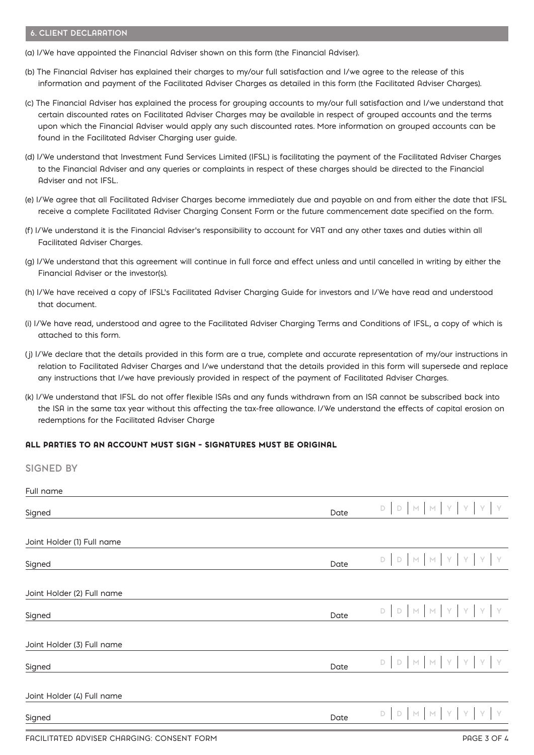#### **6. CLIENT DECLARATION**

**SIGNED BY**

- (a) I/We have appointed the Financial Adviser shown on this form (the Financial Adviser).
- (b) The Financial Adviser has explained their charges to my/our full satisfaction and I/we agree to the release of this information and payment of the Facilitated Adviser Charges as detailed in this form (the Facilitated Adviser Charges).
- (c) The Financial Adviser has explained the process for grouping accounts to my/our full satisfaction and I/we understand that certain discounted rates on Facilitated Adviser Charges may be available in respect of grouped accounts and the terms upon which the Financial Adviser would apply any such discounted rates. More information on grouped accounts can be found in the Facilitated Adviser Charging user guide.
- (d) I/We understand that Investment Fund Services Limited (IFSL) is facilitating the payment of the Facilitated Adviser Charges to the Financial Adviser and any queries or complaints in respect of these charges should be directed to the Financial Adviser and not IFSL.
- (e) I/We agree that all Facilitated Adviser Charges become immediately due and payable on and from either the date that IFSL receive a complete Facilitated Adviser Charging Consent Form or the future commencement date specified on the form.
- (f) I/We understand it is the Financial Adviser's responsibility to account for VAT and any other taxes and duties within all Facilitated Adviser Charges.
- (g) I/We understand that this agreement will continue in full force and effect unless and until cancelled in writing by either the Financial Adviser or the investor(s).
- (h) I/We have received a copy of IFSL's Facilitated Adviser Charging Guide for investors and I/We have read and understood that document.
- (i) I/We have read, understood and agree to the Facilitated Adviser Charging Terms and Conditions of IFSL, a copy of which is attached to this form.
- (j) I/We declare that the details provided in this form are a true, complete and accurate representation of my/our instructions in relation to Facilitated Adviser Charges and I/we understand that the details provided in this form will supersede and replace any instructions that I/we have previously provided in respect of the payment of Facilitated Adviser Charges.
- (k) I/We understand that IFSL do not offer flexible ISAs and any funds withdrawn from an ISA cannot be subscribed back into the ISA in the same tax year without this affecting the tax-free allowance. I/We understand the effects of capital erosion on redemptions for the Facilitated Adviser Charge

#### ALL PARTIES TO AN ACCOUNT MUST SIGN – SIGNATURES MUST BE ORIGINAL

| VIVITLY YI                                 |      |                                    |
|--------------------------------------------|------|------------------------------------|
| Full name                                  |      |                                    |
| Signed                                     | Date | D D M M Y Y Y Y                    |
|                                            |      |                                    |
| Joint Holder (1) Full name                 |      |                                    |
| Signed                                     | Date | D D M M Y Y Y Y                    |
|                                            |      |                                    |
| Joint Holder (2) Full name                 |      |                                    |
| Signed                                     | Date | D D M M Y Y Y Y                    |
|                                            |      |                                    |
| Joint Holder (3) Full name                 |      |                                    |
| Signed                                     | Date | D D M M Y Y Y Y                    |
|                                            |      |                                    |
| Joint Holder (4) Full name                 |      |                                    |
| Signed                                     | Date | D M M Y Y Y<br>Y<br>$\mathsf{D}^-$ |
| FACILITATED ADVISER CHARGING: CONSENT FORM |      | PAGE 3 OF 4                        |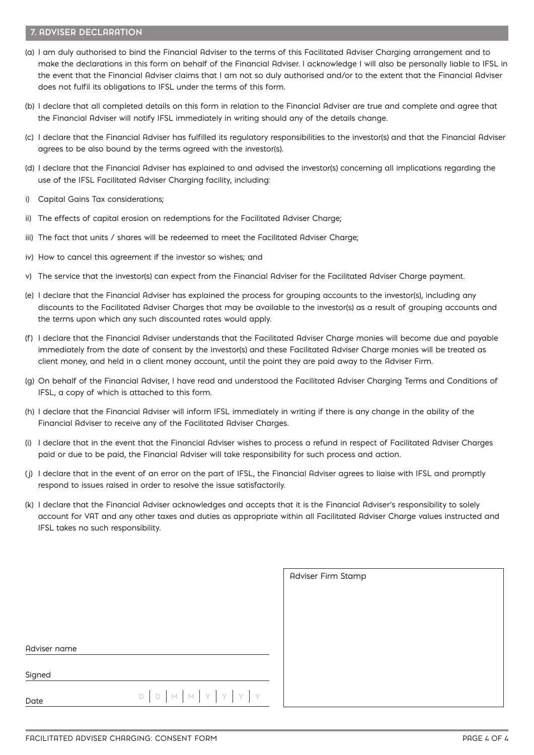#### **7. ADVISER DECLARATION**

- (a) I am duly authorised to bind the Financial Adviser to the terms of this Facilitated Adviser Charging arrangement and to make the declarations in this form on behalf of the Financial Adviser. I acknowledge I will also be personally liable to IFSL in the event that the Financial Adviser claims that I am not so duly authorised and/or to the extent that the Financial Adviser does not fulfil its obligations to IFSL under the terms of this form.
- (b) I declare that all completed details on this form in relation to the Financial Adviser are true and complete and agree that the Financial Adviser will notify IFSL immediately in writing should any of the details change.
- (c) I declare that the Financial Adviser has fulfilled its regulatory responsibilities to the investor(s) and that the Financial Adviser agrees to be also bound by the terms agreed with the investor(s).
- (d) I declare that the Financial Adviser has explained to and advised the investor(s) concerning all implications regarding the use of the IFSL Facilitated Adviser Charging facility, including:
- i) Capital Gains Tax considerations;
- ii) The effects of capital erosion on redemptions for the Facilitated Adviser Charge;
- iii) The fact that units / shares will be redeemed to meet the Facilitated Adviser Charge;
- iv) How to cancel this agreement if the investor so wishes; and
- v) The service that the investor(s) can expect from the Financial Adviser for the Facilitated Adviser Charge payment.
- (e) I declare that the Financial Adviser has explained the process for grouping accounts to the investor(s), including any discounts to the Facilitated Adviser Charges that may be available to the investor(s) as a result of grouping accounts and the terms upon which any such discounted rates would apply.
- (f) I declare that the Financial Adviser understands that the Facilitated Adviser Charge monies will become due and payable immediately from the date of consent by the investor(s) and these Facilitated Adviser Charge monies will be treated as client money, and held in a client money account, until the point they are paid away to the Adviser Firm.
- (g) On behalf of the Financial Adviser, I have read and understood the Facilitated Adviser Charging Terms and Conditions of IFSL, a copy of which is attached to this form.
- (h) I declare that the Financial Adviser will inform IFSL immediately in writing if there is any change in the ability of the Financial Adviser to receive any of the Facilitated Adviser Charges.
- (i) I declare that in the event that the Financial Adviser wishes to process a refund in respect of Facilitated Adviser Charges paid or due to be paid, the Financial Adviser will take responsibility for such process and action.
- (j) I declare that in the event of an error on the part of IFSL, the Financial Adviser agrees to liaise with IFSL and promptly respond to issues raised in order to resolve the issue satisfactorily.
- (k) I declare that the Financial Adviser acknowledges and accepts that it is the Financial Adviser's responsibility to solely account for VAT and any other taxes and duties as appropriate within all Facilitated Adviser Charge values instructed and IFSL takes no such responsibility.

|                                                                                                                                                                                                                                                                                                                                                                                                                                                          | Adviser Firm Stamp |
|----------------------------------------------------------------------------------------------------------------------------------------------------------------------------------------------------------------------------------------------------------------------------------------------------------------------------------------------------------------------------------------------------------------------------------------------------------|--------------------|
|                                                                                                                                                                                                                                                                                                                                                                                                                                                          |                    |
|                                                                                                                                                                                                                                                                                                                                                                                                                                                          |                    |
|                                                                                                                                                                                                                                                                                                                                                                                                                                                          |                    |
| Adviser name                                                                                                                                                                                                                                                                                                                                                                                                                                             |                    |
| Signed                                                                                                                                                                                                                                                                                                                                                                                                                                                   |                    |
| $\begin{array}{c c c c c c c c} \multicolumn{3}{c }{\textbf{D}} & \multicolumn{3}{c }{\textbf{M}} & \multicolumn{3}{c }{\textbf{M}} & \multicolumn{3}{c }{\textbf{Y}} & \multicolumn{3}{c }{\textbf{Y}} & \multicolumn{3}{c }{\textbf{Y}} & \multicolumn{3}{c }{\textbf{Y}} & \multicolumn{3}{c }{\textbf{Y}} & \multicolumn{3}{c }{\textbf{Y}} & \multicolumn{3}{c }{\textbf{Y}} & \multicolumn{3}{c }{\textbf{Y}} & \multicolumn{3}{c }{\text$<br>Date |                    |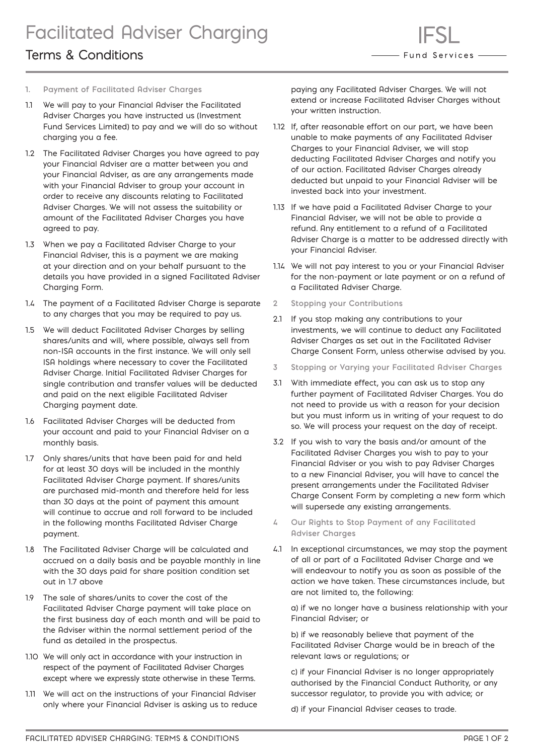# Terms & Conditions

- **1. Payment of Facilitated Adviser Charges**
- 1.1 We will pay to your Financial Adviser the Facilitated Adviser Charges you have instructed us (Investment Fund Services Limited) to pay and we will do so without charging you a fee.
- 1.2 The Facilitated Adviser Charges you have agreed to pay your Financial Adviser are a matter between you and your Financial Adviser, as are any arrangements made with your Financial Adviser to group your account in order to receive any discounts relating to Facilitated Adviser Charges. We will not assess the suitability or amount of the Facilitated Adviser Charges you have agreed to pay.
- 1.3 When we pay a Facilitated Adviser Charge to your Financial Adviser, this is a payment we are making at your direction and on your behalf pursuant to the details you have provided in a signed Facilitated Adviser Charging Form.
- 1.4 The payment of a Facilitated Adviser Charge is separate to any charges that you may be required to pay us.
- 1.5 We will deduct Facilitated Adviser Charges by selling shares/units and will, where possible, always sell from non-ISA accounts in the first instance. We will only sell ISA holdings where necessary to cover the Facilitated Adviser Charge. Initial Facilitated Adviser Charges for single contribution and transfer values will be deducted and paid on the next eligible Facilitated Adviser Charging payment date.
- 1.6 Facilitated Adviser Charges will be deducted from your account and paid to your Financial Adviser on a monthly basis.
- 1.7 Only shares/units that have been paid for and held for at least 30 days will be included in the monthly Facilitated Adviser Charge payment. If shares/units are purchased mid-month and therefore held for less than 30 days at the point of payment this amount will continue to accrue and roll forward to be included in the following months Facilitated Adviser Charge payment.
- 1.8 The Facilitated Adviser Charge will be calculated and accrued on a daily basis and be payable monthly in line with the 30 days paid for share position condition set out in 1.7 above
- 1.9 The sale of shares/units to cover the cost of the Facilitated Adviser Charge payment will take place on the first business day of each month and will be paid to the Adviser within the normal settlement period of the fund as detailed in the prospectus.
- 1.10 We will only act in accordance with your instruction in respect of the payment of Facilitated Adviser Charges except where we expressly state otherwise in these Terms.
- 1.11 We will act on the instructions of your Financial Adviser only where your Financial Adviser is asking us to reduce

paying any Facilitated Adviser Charges. We will not extend or increase Facilitated Adviser Charges without your written instruction.

- 1.12 If, after reasonable effort on our part, we have been unable to make payments of any Facilitated Adviser Charges to your Financial Adviser, we will stop deducting Facilitated Adviser Charges and notify you of our action. Facilitated Adviser Charges already deducted but unpaid to your Financial Adviser will be invested back into your investment.
- 1.13 If we have paid a Facilitated Adviser Charge to your Financial Adviser, we will not be able to provide a refund. Any entitlement to a refund of a Facilitated Adviser Charge is a matter to be addressed directly with your Financial Adviser.
- 1.14 We will not pay interest to you or your Financial Adviser for the non-payment or late payment or on a refund of a Facilitated Adviser Charge.
- **2 Stopping your Contributions**
- 2.1 If you stop making any contributions to your investments, we will continue to deduct any Facilitated Adviser Charges as set out in the Facilitated Adviser Charge Consent Form, unless otherwise advised by you.
- **3 Stopping or Varying your Facilitated Adviser Charges**
- 3.1 With immediate effect, you can ask us to stop any further payment of Facilitated Adviser Charges. You do not need to provide us with a reason for your decision but you must inform us in writing of your request to do so. We will process your request on the day of receipt.
- 3.2 If you wish to vary the basis and/or amount of the Facilitated Adviser Charges you wish to pay to your Financial Adviser or you wish to pay Adviser Charges to a new Financial Adviser, you will have to cancel the present arrangements under the Facilitated Adviser Charge Consent Form by completing a new form which will supersede any existing arrangements.
- **4 Our Rights to Stop Payment of any Facilitated Adviser Charges**
- 4.1 In exceptional circumstances, we may stop the payment of all or part of a Facilitated Adviser Charge and we will endeavour to notify you as soon as possible of the action we have taken. These circumstances include, but are not limited to, the following:

a) if we no longer have a business relationship with your Financial Adviser; or

b) if we reasonably believe that payment of the Facilitated Adviser Charge would be in breach of the relevant laws or regulations; or

c) if your Financial Adviser is no longer appropriately authorised by the Financial Conduct Authority, or any successor regulator, to provide you with advice; or

d) if your Financial Adviser ceases to trade.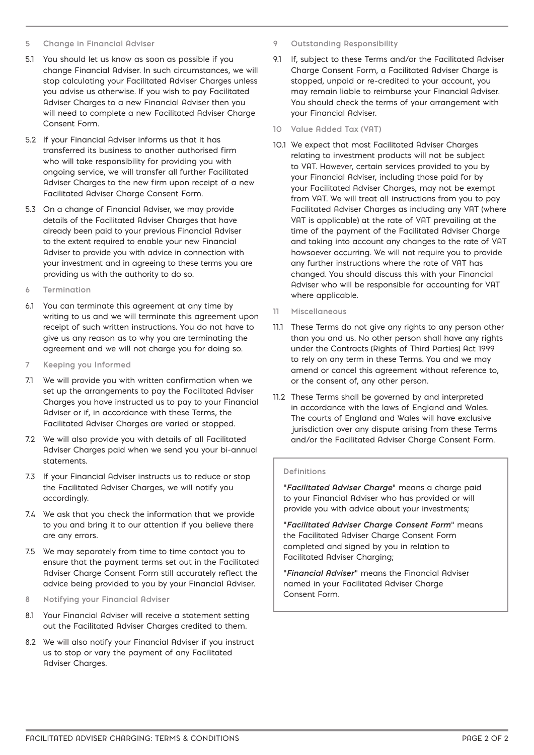#### **5 Change in Financial Adviser**

- 5.1 You should let us know as soon as possible if you change Financial Adviser. In such circumstances, we will stop calculating your Facilitated Adviser Charges unless you advise us otherwise. If you wish to pay Facilitated Adviser Charges to a new Financial Adviser then you will need to complete a new Facilitated Adviser Charge Consent Form.
- 5.2 If your Financial Adviser informs us that it has transferred its business to another authorised firm who will take responsibility for providing you with ongoing service, we will transfer all further Facilitated Adviser Charges to the new firm upon receipt of a new Facilitated Adviser Charge Consent Form.
- 5.3 On a change of Financial Adviser, we may provide details of the Facilitated Adviser Charges that have already been paid to your previous Financial Adviser to the extent required to enable your new Financial Adviser to provide you with advice in connection with your investment and in agreeing to these terms you are providing us with the authority to do so.
- **6 Termination**
- 6.1 You can terminate this agreement at any time by writing to us and we will terminate this agreement upon receipt of such written instructions. You do not have to give us any reason as to why you are terminating the agreement and we will not charge you for doing so.
- **7 Keeping you Informed**
- 7.1 We will provide you with written confirmation when we set up the arrangements to pay the Facilitated Adviser Charges you have instructed us to pay to your Financial Adviser or if, in accordance with these Terms, the Facilitated Adviser Charges are varied or stopped.
- 7.2 We will also provide you with details of all Facilitated Adviser Charges paid when we send you your bi-annual statements.
- 7.3 If your Financial Adviser instructs us to reduce or stop the Facilitated Adviser Charges, we will notify you accordingly.
- 7.4 We ask that you check the information that we provide to you and bring it to our attention if you believe there are any errors.
- 7.5 We may separately from time to time contact you to ensure that the payment terms set out in the Facilitated Adviser Charge Consent Form still accurately reflect the advice being provided to you by your Financial Adviser.
- **8 Notifying your Financial Adviser**
- 8.1 Your Financial Adviser will receive a statement setting out the Facilitated Adviser Charges credited to them.
- 8.2 We will also notify your Financial Adviser if you instruct us to stop or vary the payment of any Facilitated Adviser Charges.
- **9 Outstanding Responsibility**
- 9.1 If, subject to these Terms and/or the Facilitated Adviser Charge Consent Form, a Facilitated Adviser Charge is stopped, unpaid or re-credited to your account, you may remain liable to reimburse your Financial Adviser. You should check the terms of your arrangement with your Financial Adviser.
- **10 Value Added Tax (VAT)**
- 10.1 We expect that most Facilitated Adviser Charges relating to investment products will not be subject to VAT. However, certain services provided to you by your Financial Adviser, including those paid for by your Facilitated Adviser Charges, may not be exempt from VAT. We will treat all instructions from you to pay Facilitated Adviser Charges as including any VAT (where VAT is applicable) at the rate of VAT prevailing at the time of the payment of the Facilitated Adviser Charge and taking into account any changes to the rate of VAT howsoever occurring. We will not require you to provide any further instructions where the rate of VAT has changed. You should discuss this with your Financial Adviser who will be responsible for accounting for VAT where applicable.
- **11 Miscellaneous**
- 11.1 These Terms do not give any rights to any person other than you and us. No other person shall have any rights under the Contracts (Rights of Third Parties) Act 1999 to rely on any term in these Terms. You and we may amend or cancel this agreement without reference to, or the consent of, any other person.
- 11.2 These Terms shall be governed by and interpreted in accordance with the laws of England and Wales. The courts of England and Wales will have exclusive jurisdiction over any dispute arising from these Terms and/or the Facilitated Adviser Charge Consent Form.

#### **Definitions**

"*Facilitated Adviser Charge*" means a charge paid to your Financial Adviser who has provided or will provide you with advice about your investments;

"*Facilitated Adviser Charge Consent Form*" means the Facilitated Adviser Charge Consent Form completed and signed by you in relation to Facilitated Adviser Charging;

"*Financial Adviser*" means the Financial Adviser named in your Facilitated Adviser Charge Consent Form.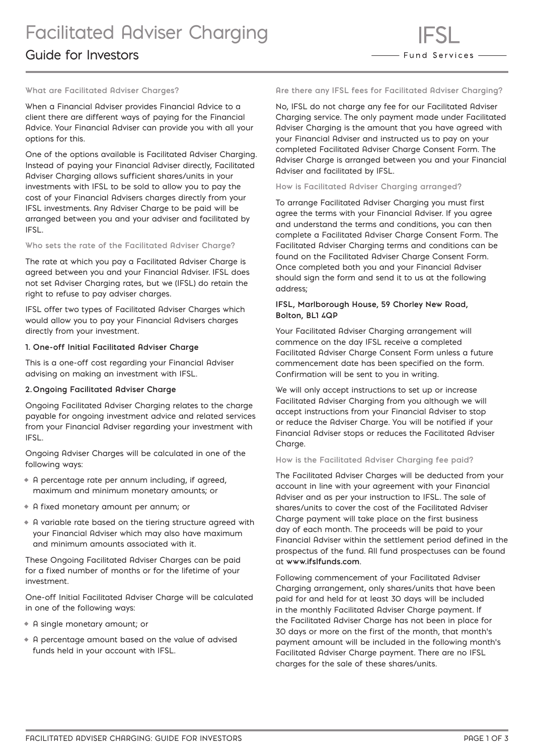### Guide for Investors

#### **What are Facilitated Adviser Charges?**

When a Financial Adviser provides Financial Advice to a client there are different ways of paying for the Financial Advice. Your Financial Adviser can provide you with all your options for this.

One of the options available is Facilitated Adviser Charging. Instead of paying your Financial Adviser directly, Facilitated Adviser Charging allows sufficient shares/units in your investments with IFSL to be sold to allow you to pay the cost of your Financial Advisers charges directly from your IFSL investments. Any Adviser Charge to be paid will be arranged between you and your adviser and facilitated by IFSL.

#### **Who sets the rate of the Facilitated Adviser Charge?**

The rate at which you pay a Facilitated Adviser Charge is agreed between you and your Financial Adviser. IFSL does not set Adviser Charging rates, but we (IFSL) do retain the right to refuse to pay adviser charges.

IFSL offer two types of Facilitated Adviser Charges which would allow you to pay your Financial Advisers charges directly from your investment.

#### **1. One-off Initial Facilitated Adviser Charge**

This is a one-off cost regarding your Financial Adviser advising on making an investment with IFSL.

#### **2. Ongoing Facilitated Adviser Charge**

Ongoing Facilitated Adviser Charging relates to the charge payable for ongoing investment advice and related services from your Financial Adviser regarding your investment with IFSL.

Ongoing Adviser Charges will be calculated in one of the following ways:

- **•** A percentage rate per annum including, if agreed, maximum and minimum monetary amounts; or
- **•** A fixed monetary amount per annum; or
- **•** A variable rate based on the tiering structure agreed with your Financial Adviser which may also have maximum and minimum amounts associated with it.

These Ongoing Facilitated Adviser Charges can be paid for a fixed number of months or for the lifetime of your investment.

One-off Initial Facilitated Adviser Charge will be calculated in one of the following ways:

- **•** A single monetary amount; or
- **•** A percentage amount based on the value of advised funds held in your account with IFSL.

#### **Are there any IFSL fees for Facilitated Adviser Charging?**

No, IFSL do not charge any fee for our Facilitated Adviser Charging service. The only payment made under Facilitated Adviser Charging is the amount that you have agreed with your Financial Adviser and instructed us to pay on your completed Facilitated Adviser Charge Consent Form. The Adviser Charge is arranged between you and your Financial Adviser and facilitated by IFSL.

#### **How is Facilitated Adviser Charging arranged?**

To arrange Facilitated Adviser Charging you must first agree the terms with your Financial Adviser. If you agree and understand the terms and conditions, you can then complete a Facilitated Adviser Charge Consent Form. The Facilitated Adviser Charging terms and conditions can be found on the Facilitated Adviser Charge Consent Form. Once completed both you and your Financial Adviser should sign the form and send it to us at the following address;

#### **IFSL, Marlborough House, 59 Chorley New Road, Bolton, BL1 4QP**

Your Facilitated Adviser Charging arrangement will commence on the day IFSL receive a completed Facilitated Adviser Charge Consent Form unless a future commencement date has been specified on the form. Confirmation will be sent to you in writing.

We will only accept instructions to set up or increase Facilitated Adviser Charging from you although we will accept instructions from your Financial Adviser to stop or reduce the Adviser Charge. You will be notified if your Financial Adviser stops or reduces the Facilitated Adviser Charge.

#### **How is the Facilitated Adviser Charging fee paid?**

The Facilitated Adviser Charges will be deducted from your account in line with your agreement with your Financial Adviser and as per your instruction to IFSL. The sale of shares/units to cover the cost of the Facilitated Adviser Charge payment will take place on the first business day of each month. The proceeds will be paid to your Financial Adviser within the settlement period defined in the prospectus of the fund. All fund prospectuses can be found at **www.ifslfunds.com**.

Following commencement of your Facilitated Adviser Charging arrangement, only shares/units that have been paid for and held for at least 30 days will be included in the monthly Facilitated Adviser Charge payment. If the Facilitated Adviser Charge has not been in place for 30 days or more on the first of the month, that month's payment amount will be included in the following month's Facilitated Adviser Charge payment. There are no IFSL charges for the sale of these shares/units.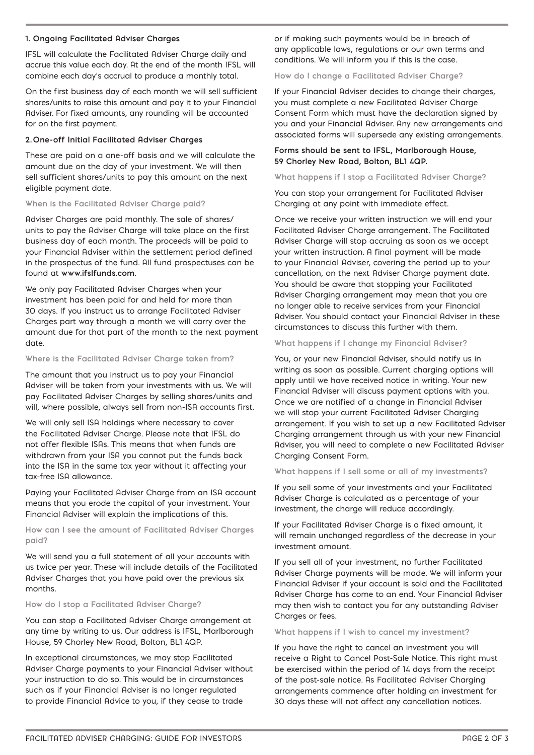#### **1. Ongoing Facilitated Adviser Charges**

IFSL will calculate the Facilitated Adviser Charge daily and accrue this value each day. At the end of the month IFSL will combine each day's accrual to produce a monthly total.

On the first business day of each month we will sell sufficient shares/units to raise this amount and pay it to your Financial Adviser. For fixed amounts, any rounding will be accounted for on the first payment.

#### **2. One-off Initial Facilitated Adviser Charges**

These are paid on a one-off basis and we will calculate the amount due on the day of your investment. We will then sell sufficient shares/units to pay this amount on the next eligible payment date.

#### **When is the Facilitated Adviser Charge paid?**

Adviser Charges are paid monthly. The sale of shares/ units to pay the Adviser Charge will take place on the first business day of each month. The proceeds will be paid to your Financial Adviser within the settlement period defined in the prospectus of the fund. All fund prospectuses can be found at **www.ifslfunds.com**.

We only pay Facilitated Adviser Charges when your investment has been paid for and held for more than 30 days. If you instruct us to arrange Facilitated Adviser Charges part way through a month we will carry over the amount due for that part of the month to the next payment date.

#### **Where is the Facilitated Adviser Charge taken from?**

The amount that you instruct us to pay your Financial Adviser will be taken from your investments with us. We will pay Facilitated Adviser Charges by selling shares/units and will, where possible, always sell from non-ISA accounts first.

We will only sell ISA holdings where necessary to cover the Facilitated Adviser Charge. Please note that IFSL do not offer flexible ISAs. This means that when funds are withdrawn from your ISA you cannot put the funds back into the ISA in the same tax year without it affecting your tax-free ISA allowance.

Paying your Facilitated Adviser Charge from an ISA account means that you erode the capital of your investment. Your Financial Adviser will explain the implications of this.

#### **How can I see the amount of Facilitated Adviser Charges paid?**

We will send you a full statement of all your accounts with us twice per year. These will include details of the Facilitated Adviser Charges that you have paid over the previous six months.

#### **How do I stop a Facilitated Adviser Charge?**

You can stop a Facilitated Adviser Charge arrangement at any time by writing to us. Our address is IFSL, Marlborough House, 59 Chorley New Road, Bolton, BL1 4QP.

In exceptional circumstances, we may stop Facilitated Adviser Charge payments to your Financial Adviser without your instruction to do so. This would be in circumstances such as if your Financial Adviser is no longer regulated to provide Financial Advice to you, if they cease to trade

or if making such payments would be in breach of any applicable laws, regulations or our own terms and conditions. We will inform you if this is the case.

**How do I change a Facilitated Adviser Charge?**

If your Financial Adviser decides to change their charges, you must complete a new Facilitated Adviser Charge Consent Form which must have the declaration signed by you and your Financial Adviser. Any new arrangements and associated forms will supersede any existing arrangements.

#### **Forms should be sent to IFSL, Marlborough House, 59 Chorley New Road, Bolton, BL1 4QP.**

**What happens if I stop a Facilitated Adviser Charge?**

You can stop your arrangement for Facilitated Adviser Charging at any point with immediate effect.

Once we receive your written instruction we will end your Facilitated Adviser Charge arrangement. The Facilitated Adviser Charge will stop accruing as soon as we accept your written instruction. A final payment will be made to your Financial Adviser, covering the period up to your cancellation, on the next Adviser Charge payment date. You should be aware that stopping your Facilitated Adviser Charging arrangement may mean that you are no longer able to receive services from your Financial Adviser. You should contact your Financial Adviser in these circumstances to discuss this further with them.

#### **What happens if I change my Financial Adviser?**

You, or your new Financial Adviser, should notify us in writing as soon as possible. Current charging options will apply until we have received notice in writing. Your new Financial Adviser will discuss payment options with you. Once we are notified of a change in Financial Adviser we will stop your current Facilitated Adviser Charging arrangement. If you wish to set up a new Facilitated Adviser Charging arrangement through us with your new Financial Adviser, you will need to complete a new Facilitated Adviser Charging Consent Form.

#### **What happens if I sell some or all of my investments?**

If you sell some of your investments and your Facilitated Adviser Charge is calculated as a percentage of your investment, the charge will reduce accordingly.

If your Facilitated Adviser Charge is a fixed amount, it will remain unchanged regardless of the decrease in your investment amount.

If you sell all of your investment, no further Facilitated Adviser Charge payments will be made. We will inform your Financial Adviser if your account is sold and the Facilitated Adviser Charge has come to an end. Your Financial Adviser may then wish to contact you for any outstanding Adviser Charges or fees.

#### **What happens if I wish to cancel my investment?**

If you have the right to cancel an investment you will receive a Right to Cancel Post-Sale Notice. This right must be exercised within the period of 14 days from the receipt of the post-sale notice. As Facilitated Adviser Charging arrangements commence after holding an investment for 30 days these will not affect any cancellation notices.